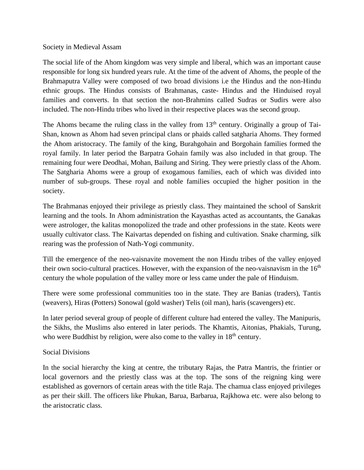## Society in Medieval Assam

The social life of the Ahom kingdom was very simple and liberal, which was an important cause responsible for long six hundred years rule. At the time of the advent of Ahoms, the people of the Brahmaputra Valley were composed of two broad divisions i.e the Hindus and the non-Hindu ethnic groups. The Hindus consists of Brahmanas, caste- Hindus and the Hinduised royal families and converts. In that section the non-Brahmins called Sudras or Sudirs were also included. The non-Hindu tribes who lived in their respective places was the second group.

The Ahoms became the ruling class in the valley from  $13<sup>th</sup>$  century. Originally a group of Tai-Shan, known as Ahom had seven principal clans or phaids called satgharia Ahoms. They formed the Ahom aristocracy. The family of the king, Burahgohain and Borgohain families formed the royal family. In later period the Barpatra Gohain family was also included in that group. The remaining four were Deodhai, Mohan, Bailung and Siring. They were priestly class of the Ahom. The Satgharia Ahoms were a group of exogamous families, each of which was divided into number of sub-groups. These royal and noble families occupied the higher position in the society.

The Brahmanas enjoyed their privilege as priestly class. They maintained the school of Sanskrit learning and the tools. In Ahom administration the Kayasthas acted as accountants, the Ganakas were astrologer, the kalitas monopolized the trade and other professions in the state. Keots were usually cultivator class. The Kaivartas depended on fishing and cultivation. Snake charming, silk rearing was the profession of Nath-Yogi community.

Till the emergence of the neo-vaisnavite movement the non Hindu tribes of the valley enjoyed their own socio-cultural practices. However, with the expansion of the neo-vaisnavism in the  $16<sup>th</sup>$ century the whole population of the valley more or less came under the pale of Hinduism.

There were some professional communities too in the state. They are Banias (traders), Tantis (weavers), Hiras (Potters) Sonowal (gold washer) Telis (oil man), haris (scavengers) etc.

In later period several group of people of different culture had entered the valley. The Manipuris, the Sikhs, the Muslims also entered in later periods. The Khamtis, Aitonias, Phakials, Turung, who were Buddhist by religion, were also come to the valley in  $18<sup>th</sup>$  century.

## Social Divisions

In the social hierarchy the king at centre, the tributary Rajas, the Patra Mantris, the frintier or local governors and the priestly class was at the top. The sons of the reigning king were established as governors of certain areas with the title Raja. The chamua class enjoyed privileges as per their skill. The officers like Phukan, Barua, Barbarua, Rajkhowa etc. were also belong to the aristocratic class.